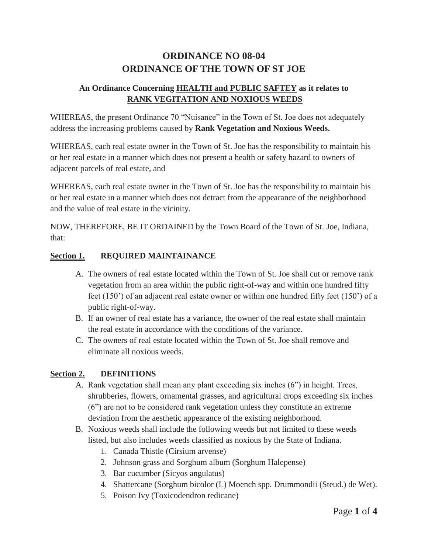# **ORDINANCE NO 08-04 ORDINANCE OF THE TOWN OF ST JOE**

## **An Ordinance Concerning HEALTH and PUBLIC SAFTEY as it relates to RANK VEGITATION AND NOXIOUS WEEDS**

WHEREAS, the present Ordinance 70 "Nuisance" in the Town of St. Joe does not adequately address the increasing problems caused by **Rank Vegetation and Noxious Weeds.**

WHEREAS, each real estate owner in the Town of St. Joe has the responsibility to maintain his or her real estate in a manner which does not present a health or safety hazard to owners of adjacent parcels of real estate, and

WHEREAS, each real estate owner in the Town of St. Joe has the responsibility to maintain his or her real estate in a manner which does not detract from the appearance of the neighborhood and the value of real estate in the vicinity.

NOW, THEREFORE, BE IT ORDAINED by the Town Board of the Town of St. Joe, Indiana, that:

#### **Section 1. REQUIRED MAINTAINANCE**

- A. The owners of real estate located within the Town of St. Joe shall cut or remove rank vegetation from an area within the public right-of-way and within one hundred fifty feet (150') of an adjacent real estate owner or within one hundred fifty feet (150') of a public right-of-way.
- B. If an owner of real estate has a variance, the owner of the real estate shall maintain the real estate in accordance with the conditions of the variance.
- C. The owners of real estate located within the Town of St. Joe shall remove and eliminate all noxious weeds.

#### **Section 2. DEFINITIONS**

- A. Rank vegetation shall mean any plant exceeding six inches (6") in height. Trees, shrubberies, flowers, ornamental grasses, and agricultural crops exceeding six inches (6") are not to be considered rank vegetation unless they constitute an extreme deviation from the aesthetic appearance of the existing neighborhood.
- B. Noxious weeds shall include the following weeds but not limited to these weeds listed, but also includes weeds classified as noxious by the State of Indiana.
	- 1. Canada Thistle (Cirsium arvense)
	- 2. Johnson grass and Sorghum album (Sorghum Halepense)
	- 3. Bar cucumber (Sicyos angulatus)
	- 4. Shattercane (Sorghum bicolor (L) Moench spp. Drummondii (Steud.) de Wet).
	- 5. Poison Ivy (Toxicodendron redicane)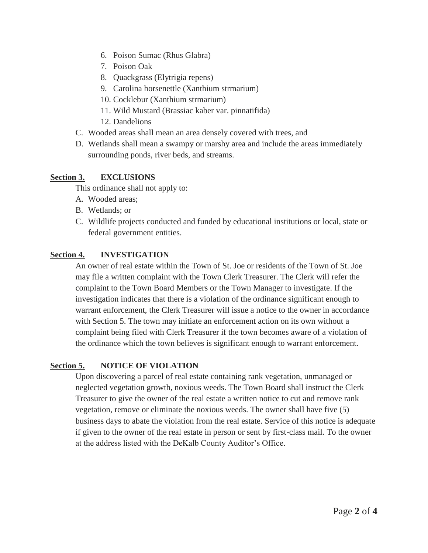- 6. Poison Sumac (Rhus Glabra)
- 7. Poison Oak
- 8. Quackgrass (Elytrigia repens)
- 9. Carolina horsenettle (Xanthium strmarium)
- 10. Cocklebur (Xanthium strmarium)
- 11. Wild Mustard (Brassiac kaber var. pinnatifida)
- 12. Dandelions
- C. Wooded areas shall mean an area densely covered with trees, and
- D. Wetlands shall mean a swampy or marshy area and include the areas immediately surrounding ponds, river beds, and streams.

#### **Section 3. EXCLUSIONS**

This ordinance shall not apply to:

- A. Wooded areas;
- B. Wetlands; or
- C. Wildlife projects conducted and funded by educational institutions or local, state or federal government entities.

### **Section 4. INVESTIGATION**

An owner of real estate within the Town of St. Joe or residents of the Town of St. Joe may file a written complaint with the Town Clerk Treasurer. The Clerk will refer the complaint to the Town Board Members or the Town Manager to investigate. If the investigation indicates that there is a violation of the ordinance significant enough to warrant enforcement, the Clerk Treasurer will issue a notice to the owner in accordance with Section 5. The town may initiate an enforcement action on its own without a complaint being filed with Clerk Treasurer if the town becomes aware of a violation of the ordinance which the town believes is significant enough to warrant enforcement.

## **Section 5. NOTICE OF VIOLATION**

Upon discovering a parcel of real estate containing rank vegetation, unmanaged or neglected vegetation growth, noxious weeds. The Town Board shall instruct the Clerk Treasurer to give the owner of the real estate a written notice to cut and remove rank vegetation, remove or eliminate the noxious weeds. The owner shall have five (5) business days to abate the violation from the real estate. Service of this notice is adequate if given to the owner of the real estate in person or sent by first-class mail. To the owner at the address listed with the DeKalb County Auditor's Office.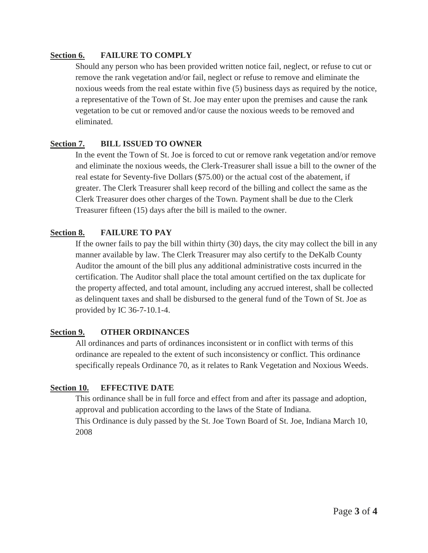#### **Section 6. FAILURE TO COMPLY**

Should any person who has been provided written notice fail, neglect, or refuse to cut or remove the rank vegetation and/or fail, neglect or refuse to remove and eliminate the noxious weeds from the real estate within five (5) business days as required by the notice, a representative of the Town of St. Joe may enter upon the premises and cause the rank vegetation to be cut or removed and/or cause the noxious weeds to be removed and eliminated.

#### **Section 7. BILL ISSUED TO OWNER**

In the event the Town of St. Joe is forced to cut or remove rank vegetation and/or remove and eliminate the noxious weeds, the Clerk-Treasurer shall issue a bill to the owner of the real estate for Seventy-five Dollars (\$75.00) or the actual cost of the abatement, if greater. The Clerk Treasurer shall keep record of the billing and collect the same as the Clerk Treasurer does other charges of the Town. Payment shall be due to the Clerk Treasurer fifteen (15) days after the bill is mailed to the owner.

#### **Section 8. FAILURE TO PAY**

If the owner fails to pay the bill within thirty (30) days, the city may collect the bill in any manner available by law. The Clerk Treasurer may also certify to the DeKalb County Auditor the amount of the bill plus any additional administrative costs incurred in the certification. The Auditor shall place the total amount certified on the tax duplicate for the property affected, and total amount, including any accrued interest, shall be collected as delinquent taxes and shall be disbursed to the general fund of the Town of St. Joe as provided by IC 36-7-10.1-4.

#### **Section 9. OTHER ORDINANCES**

All ordinances and parts of ordinances inconsistent or in conflict with terms of this ordinance are repealed to the extent of such inconsistency or conflict. This ordinance specifically repeals Ordinance 70, as it relates to Rank Vegetation and Noxious Weeds.

#### **Section 10. EFFECTIVE DATE**

This ordinance shall be in full force and effect from and after its passage and adoption, approval and publication according to the laws of the State of Indiana. This Ordinance is duly passed by the St. Joe Town Board of St. Joe, Indiana March 10, 2008